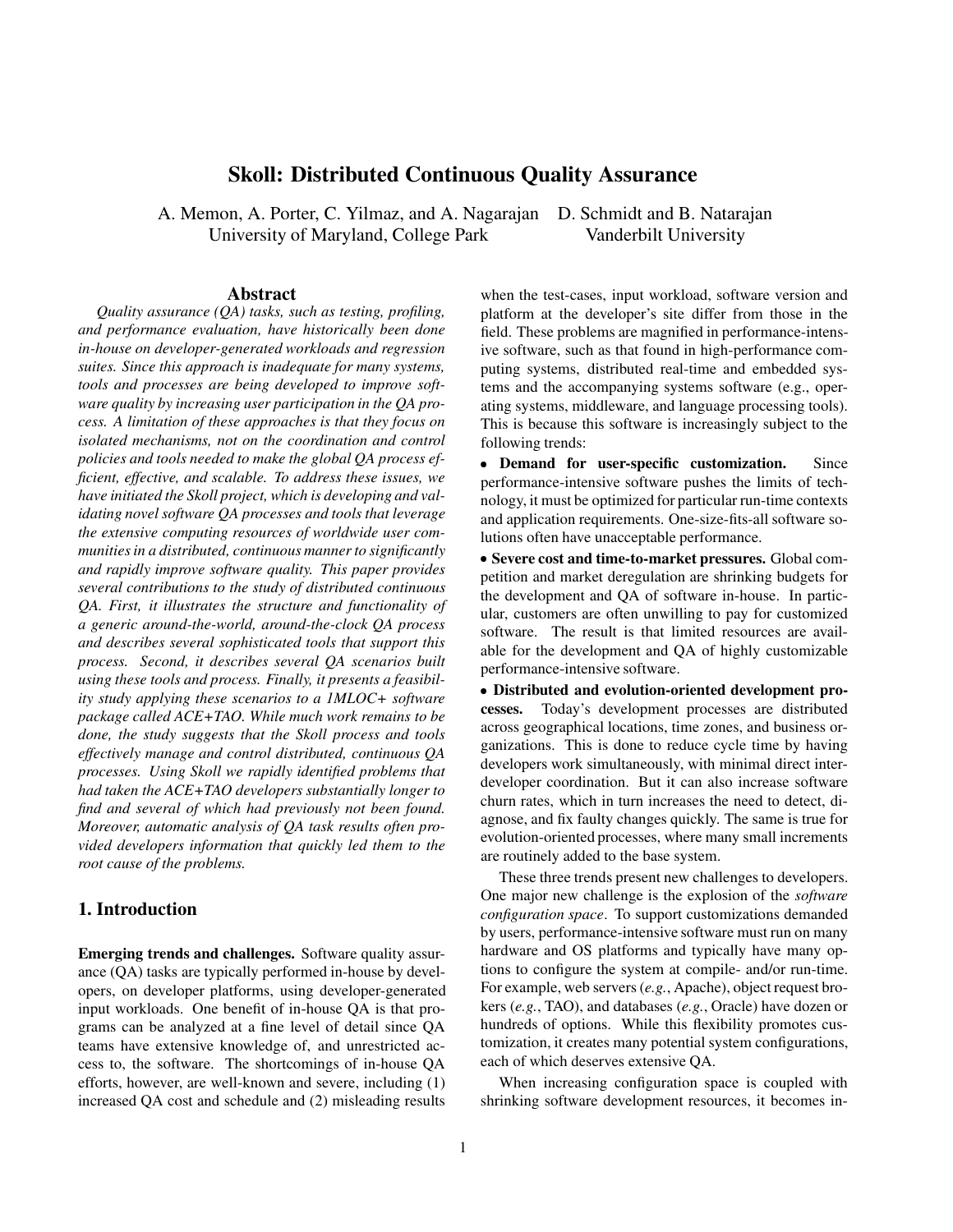# **Skoll: Distributed Continuous Quality Assurance**

A. Memon, A. Porter, C. Yilmaz, and A. Nagarajan D. Schmidt and B. Natarajan University of Maryland, College Park Vanderbilt University

### **Abstract**

*Quality assurance (QA) tasks, such as testing, profiling, and performance evaluation, have historically been done in-house on developer-generated workloads and regression suites. Since this approach is inadequate for many systems, tools and processes are being developed to improve software quality by increasing user participation in the QA process. A limitation of these approaches is that they focus on isolated mechanisms, not on the coordination and control policies and tools needed to make the global QA process efficient, effective, and scalable. To address these issues, we have initiated the Skoll project, which is developing and validating novel software QA processes and tools that leverage the extensive computing resources of worldwide user communitiesin a distributed, continuous mannerto significantly and rapidly improve software quality. This paper provides several contributions to the study of distributed continuous QA. First, it illustrates the structure and functionality of a generic around-the-world, around-the-clock QA process and describes several sophisticated tools that support this process. Second, it describes several QA scenarios built using these tools and process. Finally, it presents a feasibility study applying these scenarios to a 1MLOC+ software package called ACE+TAO. While much work remains to be done, the study suggests that the Skoll process and tools effectively manage and control distributed, continuous QA processes. Using Skoll we rapidly identified problems that had taken the ACE+TAO developers substantially longer to find and several of which had previously not been found. Moreover, automatic analysis of QA task results often provided developers information that quickly led them to the root cause of the problems.*

# **1. Introduction**

**Emerging trends and challenges.** Software quality assurance (QA) tasks are typically performed in-house by developers, on developer platforms, using developer-generated input workloads. One benefit of in-house QA is that programs can be analyzed at a fine level of detail since QA teams have extensive knowledge of, and unrestricted access to, the software. The shortcomings of in-house QA efforts, however, are well-known and severe, including (1) increased QA cost and schedule and (2) misleading results when the test-cases, input workload, software version and platform at the developer's site differ from those in the field. These problems are magnified in performance-intensive software, such as that found in high-performance computing systems, distributed real-time and embedded systems and the accompanying systems software (e.g., operating systems, middleware, and language processing tools). This is because this software is increasingly subject to the following trends:

 **Demand for user-specific customization.** Since performance-intensive software pushes the limits of technology, it must be optimized for particular run-time contexts and application requirements. One-size-fits-all software solutions often have unacceptable performance.

 **Severe cost and time-to-market pressures.** Global competition and market deregulation are shrinking budgets for the development and QA of software in-house. In particular, customers are often unwilling to pay for customized software. The result is that limited resources are available for the development and QA of highly customizable performance-intensive software.

 **Distributed and evolution-oriented development processes.** Today's development processes are distributed across geographical locations, time zones, and business organizations. This is done to reduce cycle time by having developers work simultaneously, with minimal direct interdeveloper coordination. But it can also increase software churn rates, which in turn increases the need to detect, diagnose, and fix faulty changes quickly. The same is true for evolution-oriented processes, where many small increments are routinely added to the base system.

These three trends present new challenges to developers. One major new challenge is the explosion of the *software configuration space*. To support customizations demanded by users, performance-intensive software must run on many hardware and OS platforms and typically have many options to configure the system at compile- and/or run-time. For example, web servers(*e.g.*, Apache), object request brokers (*e.g.*, TAO), and databases (*e.g.*, Oracle) have dozen or hundreds of options. While this flexibility promotes customization, it creates many potential system configurations, each of which deserves extensive QA.

When increasing configuration space is coupled with shrinking software development resources, it becomes in-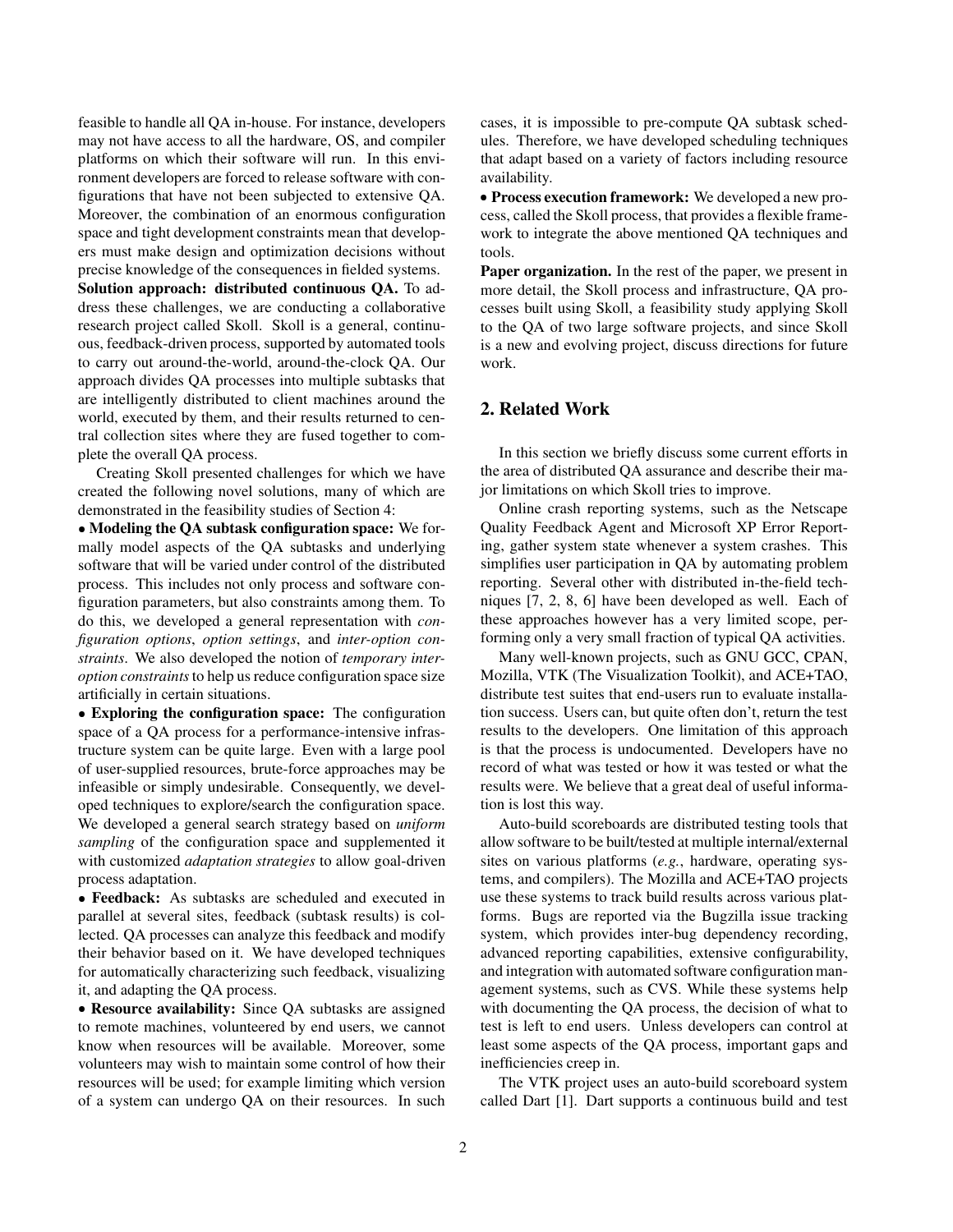feasible to handle all QA in-house. For instance, developers may not have access to all the hardware, OS, and compiler platforms on which their software will run. In this environment developers are forced to release software with configurations that have not been subjected to extensive QA. Moreover, the combination of an enormous configuration space and tight development constraints mean that developers must make design and optimization decisions without precise knowledge of the consequences in fielded systems. **Solution approach: distributed continuous QA.** To address these challenges, we are conducting a collaborative research project called Skoll. Skoll is a general, continuous, feedback-driven process, supported by automated tools to carry out around-the-world, around-the-clock QA. Our approach divides QA processes into multiple subtasks that are intelligently distributed to client machines around the world, executed by them, and their results returned to central collection sites where they are fused together to complete the overall QA process.

Creating Skoll presented challenges for which we have created the following novel solutions, many of which are demonstrated in the feasibility studies of Section 4:

 **Modeling the QA subtask configuration space:** We formally model aspects of the QA subtasks and underlying software that will be varied under control of the distributed process. This includes not only process and software configuration parameters, but also constraints among them. To do this, we developed a general representation with *configuration options*, *option settings*, and *inter-option constraints*. We also developed the notion of *temporary interoption constraints*to help us reduce configuration space size artificially in certain situations.

 **Exploring the configuration space:** The configuration space of a QA process for a performance-intensive infrastructure system can be quite large. Even with a large pool of user-supplied resources, brute-force approaches may be infeasible or simply undesirable. Consequently, we developed techniques to explore/search the configuration space. We developed a general search strategy based on *uniform sampling* of the configuration space and supplemented it with customized *adaptation strategies* to allow goal-driven process adaptation.

 **Feedback:** As subtasks are scheduled and executed in parallel at several sites, feedback (subtask results) is collected. QA processes can analyze this feedback and modify their behavior based on it. We have developed techniques for automatically characterizing such feedback, visualizing it, and adapting the QA process.

 **Resource availability:** Since QA subtasks are assigned to remote machines, volunteered by end users, we cannot know when resources will be available. Moreover, some volunteers may wish to maintain some control of how their resources will be used; for example limiting which version of a system can undergo QA on their resources. In such

cases, it is impossible to pre-compute QA subtask schedules. Therefore, we have developed scheduling techniques that adapt based on a variety of factors including resource availability.

 **Process execution framework:** We developed a new process, called the Skoll process, that provides a flexible framework to integrate the above mentioned QA techniques and tools.

**Paper organization.** In the rest of the paper, we present in more detail, the Skoll process and infrastructure, QA processes built using Skoll, a feasibility study applying Skoll to the QA of two large software projects, and since Skoll is a new and evolving project, discuss directions for future work.

# **2. Related Work**

In this section we briefly discuss some current efforts in the area of distributed QA assurance and describe their major limitations on which Skoll tries to improve.

Online crash reporting systems, such as the Netscape Quality Feedback Agent and Microsoft XP Error Reporting, gather system state whenever a system crashes. This simplifies user participation in QA by automating problem reporting. Several other with distributed in-the-field techniques [7, 2, 8, 6] have been developed as well. Each of these approaches however has a very limited scope, performing only a very small fraction of typical QA activities.

Many well-known projects, such as GNU GCC, CPAN, Mozilla, VTK (The Visualization Toolkit), and ACE+TAO, distribute test suites that end-users run to evaluate installation success. Users can, but quite often don't, return the test results to the developers. One limitation of this approach is that the process is undocumented. Developers have no record of what was tested or how it was tested or what the results were. We believe that a great deal of useful information is lost this way.

Auto-build scoreboards are distributed testing tools that allow software to be built/tested at multiple internal/external sites on various platforms (*e.g.*, hardware, operating systems, and compilers). The Mozilla and ACE+TAO projects use these systems to track build results across various platforms. Bugs are reported via the Bugzilla issue tracking system, which provides inter-bug dependency recording, advanced reporting capabilities, extensive configurability, and integration with automated software configuration management systems, such as CVS. While these systems help with documenting the QA process, the decision of what to test is left to end users. Unless developers can control at least some aspects of the QA process, important gaps and inefficiencies creep in.

The VTK project uses an auto-build scoreboard system called Dart [1]. Dart supports a continuous build and test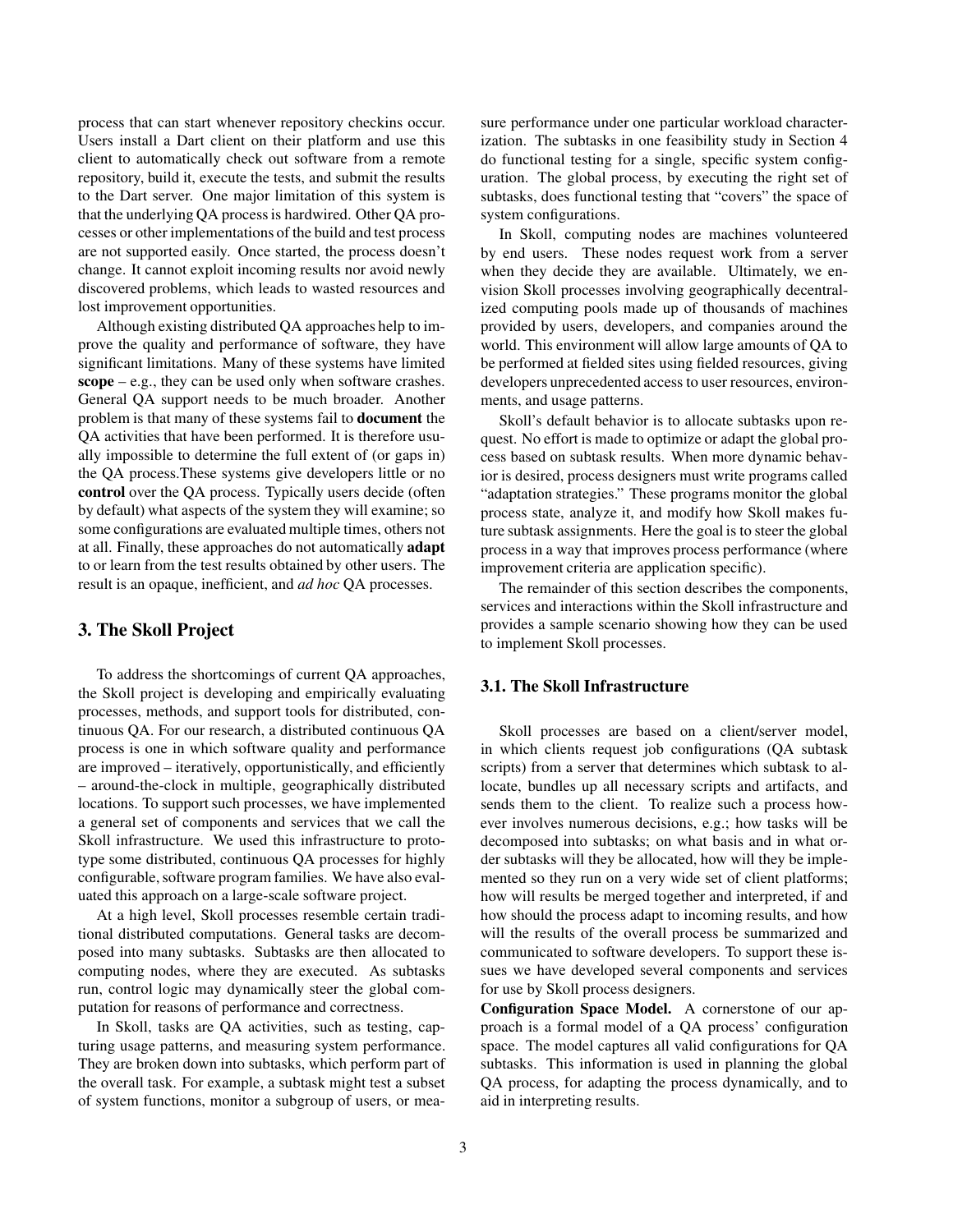process that can start whenever repository checkins occur. Users install a Dart client on their platform and use this client to automatically check out software from a remote repository, build it, execute the tests, and submit the results to the Dart server. One major limitation of this system is that the underlying QA processis hardwired. Other QA processes or other implementations of the build and test process are not supported easily. Once started, the process doesn't change. It cannot exploit incoming results nor avoid newly discovered problems, which leads to wasted resources and lost improvement opportunities.

Although existing distributed QA approaches help to improve the quality and performance of software, they have significant limitations. Many of these systems have limited **scope** – e.g., they can be used only when software crashes. General QA support needs to be much broader. Another problem is that many of these systems fail to **document** the QA activities that have been performed. It is therefore usually impossible to determine the full extent of (or gaps in) the QA process.These systems give developers little or no **control** over the QA process. Typically users decide (often by default) what aspects of the system they will examine; so some configurations are evaluated multiple times, others not at all. Finally, these approaches do not automatically **adapt** to or learn from the test results obtained by other users. The result is an opaque, inefficient, and *ad hoc* QA processes.

# **3. The Skoll Project**

To address the shortcomings of current QA approaches, the Skoll project is developing and empirically evaluating processes, methods, and support tools for distributed, continuous QA. For our research, a distributed continuous QA process is one in which software quality and performance are improved – iteratively, opportunistically, and efficiently – around-the-clock in multiple, geographically distributed locations. To support such processes, we have implemented a general set of components and services that we call the Skoll infrastructure. We used this infrastructure to prototype some distributed, continuous QA processes for highly configurable, software program families. We have also evaluated this approach on a large-scale software project.

At a high level, Skoll processes resemble certain traditional distributed computations. General tasks are decomposed into many subtasks. Subtasks are then allocated to computing nodes, where they are executed. As subtasks run, control logic may dynamically steer the global computation for reasons of performance and correctness.

In Skoll, tasks are QA activities, such as testing, capturing usage patterns, and measuring system performance. They are broken down into subtasks, which perform part of the overall task. For example, a subtask might test a subset of system functions, monitor a subgroup of users, or measure performance under one particular workload characterization. The subtasks in one feasibility study in Section 4 do functional testing for a single, specific system configuration. The global process, by executing the right set of subtasks, does functional testing that "covers" the space of system configurations.

In Skoll, computing nodes are machines volunteered by end users. These nodes request work from a server when they decide they are available. Ultimately, we envision Skoll processes involving geographically decentralized computing pools made up of thousands of machines provided by users, developers, and companies around the world. This environment will allow large amounts of QA to be performed at fielded sites using fielded resources, giving developers unprecedented access to user resources, environments, and usage patterns.

Skoll's default behavior is to allocate subtasks upon request. No effort is made to optimize or adapt the global process based on subtask results. When more dynamic behavior is desired, process designers must write programs called "adaptation strategies." These programs monitor the global process state, analyze it, and modify how Skoll makes future subtask assignments. Here the goal is to steer the global process in a way that improves process performance (where improvement criteria are application specific).

The remainder of this section describes the components, services and interactions within the Skoll infrastructure and provides a sample scenario showing how they can be used to implement Skoll processes.

### **3.1. The Skoll Infrastructure**

Skoll processes are based on a client/server model, in which clients request job configurations (QA subtask scripts) from a server that determines which subtask to allocate, bundles up all necessary scripts and artifacts, and sends them to the client. To realize such a process however involves numerous decisions, e.g.; how tasks will be decomposed into subtasks; on what basis and in what order subtasks will they be allocated, how will they be implemented so they run on a very wide set of client platforms; how will results be merged together and interpreted, if and how should the process adapt to incoming results, and how will the results of the overall process be summarized and communicated to software developers. To support these issues we have developed several components and services for use by Skoll process designers.

**Configuration Space Model.** A cornerstone of our approach is a formal model of a QA process' configuration space. The model captures all valid configurations for QA subtasks. This information is used in planning the global QA process, for adapting the process dynamically, and to aid in interpreting results.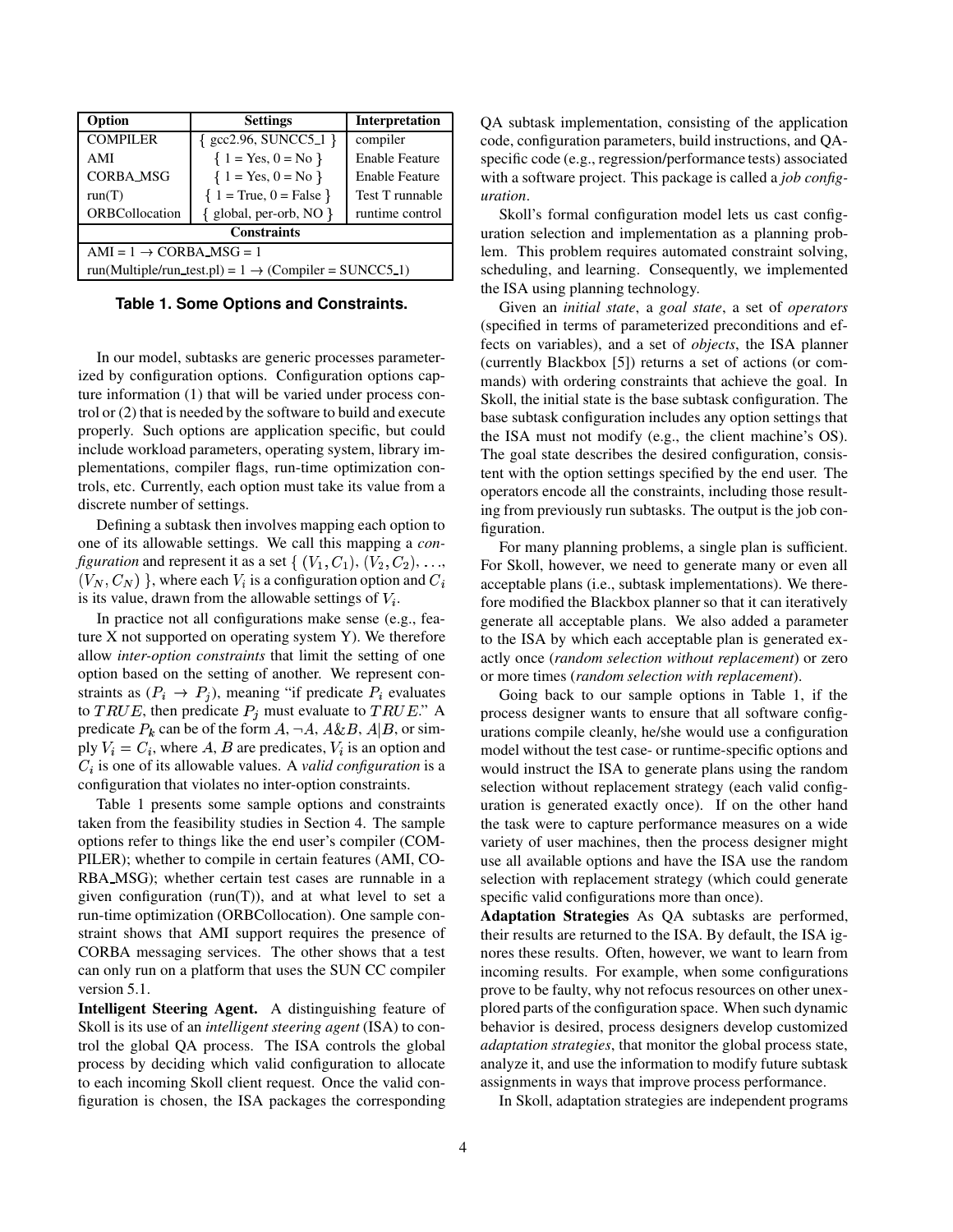| Option                                                            | <b>Settings</b>                         | Interpretation        |
|-------------------------------------------------------------------|-----------------------------------------|-----------------------|
| <b>COMPILER</b>                                                   | $\{$ gcc2.96, SUNCC5 <sub>-1</sub> $\}$ | compiler              |
| AMI                                                               | ${1 = Yes, 0 = No}$                     | <b>Enable Feature</b> |
| <b>CORBA MSG</b>                                                  | ${1 = Yes, 0 = No}$                     | <b>Enable Feature</b> |
| run(T)                                                            | ${1 = True, 0 = False}$                 | Test T runnable       |
| ORBCollocation                                                    | { global, per-orb, NO }                 | runtime control       |
| <b>Constraints</b>                                                |                                         |                       |
| $AMI = 1 \rightarrow CORBA_MSG = 1$                               |                                         |                       |
| run(Multiple/run_test.pl) = $1 \rightarrow$ (Compiler = SUNCC5_1) |                                         |                       |

**Table 1. Some Options and Constraints.**

In our model, subtasks are generic processes parameterized by configuration options. Configuration options capture information (1) that will be varied under process control or (2) that is needed by the software to build and execute properly. Such options are application specific, but could include workload parameters, operating system, library implementations, compiler flags, run-time optimization controls, etc. Currently, each option must take its value from a discrete number of settings.

Defining a subtask then involves mapping each option to one of its allowable settings. We call this mapping a *configuration* and represent it as a set  $\{ (V_1, C_1), (V_2, C_2), \ldots, \}$  $(V_N, C_N)$ , where each  $V_i$  is a configuration option and  $C_i$ is its value, drawn from the allowable settings of  $V_i$ .

In practice not all configurations make sense (e.g., feature X not supported on operating system Y). We therefore allow *inter-option constraints* that limit the setting of one option based on the setting of another. We represent constraints as  $(P_i \rightarrow P_j)$ , meaning "if predicate  $P_i$  evaluates to  $TRUE$ , then predicate  $P_i$  must evaluate to  $TRUE$ ." A predicate  $P_k$  can be of the form  $A, \neg A, A \& B, A | B$ , or simply  $V_i = C_i$ , where A, B are predicates,  $V_i$  is an option and  $C_i$  is one of its allowable values. A *valid configuration* is a configuration that violates no inter-option constraints.

Table 1 presents some sample options and constraints taken from the feasibility studies in Section 4. The sample options refer to things like the end user's compiler (COM-PILER); whether to compile in certain features (AMI, CO-RBA MSG); whether certain test cases are runnable in a given configuration (run(T)), and at what level to set a run-time optimization (ORBCollocation). One sample constraint shows that AMI support requires the presence of CORBA messaging services. The other shows that a test can only run on a platform that uses the SUN CC compiler version 5.1.

**Intelligent Steering Agent.** A distinguishing feature of Skoll is its use of an *intelligent steering agent* (ISA) to control the global QA process. The ISA controls the global process by deciding which valid configuration to allocate to each incoming Skoll client request. Once the valid configuration is chosen, the ISA packages the corresponding QA subtask implementation, consisting of the application code, configuration parameters, build instructions, and QAspecific code (e.g., regression/performance tests) associated with a software project. This package is called a *job configuration*.

Skoll's formal configuration model lets us cast configuration selection and implementation as a planning problem. This problem requires automated constraint solving, scheduling, and learning. Consequently, we implemented the ISA using planning technology.

Given an *initial state*, a *goal state*, a set of *operators* (specified in terms of parameterized preconditions and effects on variables), and a set of *objects*, the ISA planner (currently Blackbox [5]) returns a set of actions (or commands) with ordering constraints that achieve the goal. In Skoll, the initial state is the base subtask configuration. The base subtask configuration includes any option settings that the ISA must not modify (e.g., the client machine's OS). The goal state describes the desired configuration, consistent with the option settings specified by the end user. The operators encode all the constraints, including those resulting from previously run subtasks. The output is the job configuration.

For many planning problems, a single plan is sufficient. For Skoll, however, we need to generate many or even all acceptable plans (i.e., subtask implementations). We therefore modified the Blackbox planner so that it can iteratively generate all acceptable plans. We also added a parameter to the ISA by which each acceptable plan is generated exactly once (*random selection without replacement*) or zero or more times (*random selection with replacement*).

Going back to our sample options in Table 1, if the process designer wants to ensure that all software configurations compile cleanly, he/she would use a configuration model without the test case- or runtime-specific options and would instruct the ISA to generate plans using the random selection without replacement strategy (each valid configuration is generated exactly once). If on the other hand the task were to capture performance measures on a wide variety of user machines, then the process designer might use all available options and have the ISA use the random selection with replacement strategy (which could generate specific valid configurations more than once).

**Adaptation Strategies** As QA subtasks are performed, their results are returned to the ISA. By default, the ISA ignores these results. Often, however, we want to learn from incoming results. For example, when some configurations prove to be faulty, why not refocus resources on other unexplored parts of the configuration space. When such dynamic behavior is desired, process designers develop customized *adaptation strategies*, that monitor the global process state, analyze it, and use the information to modify future subtask assignments in ways that improve process performance.

In Skoll, adaptation strategies are independent programs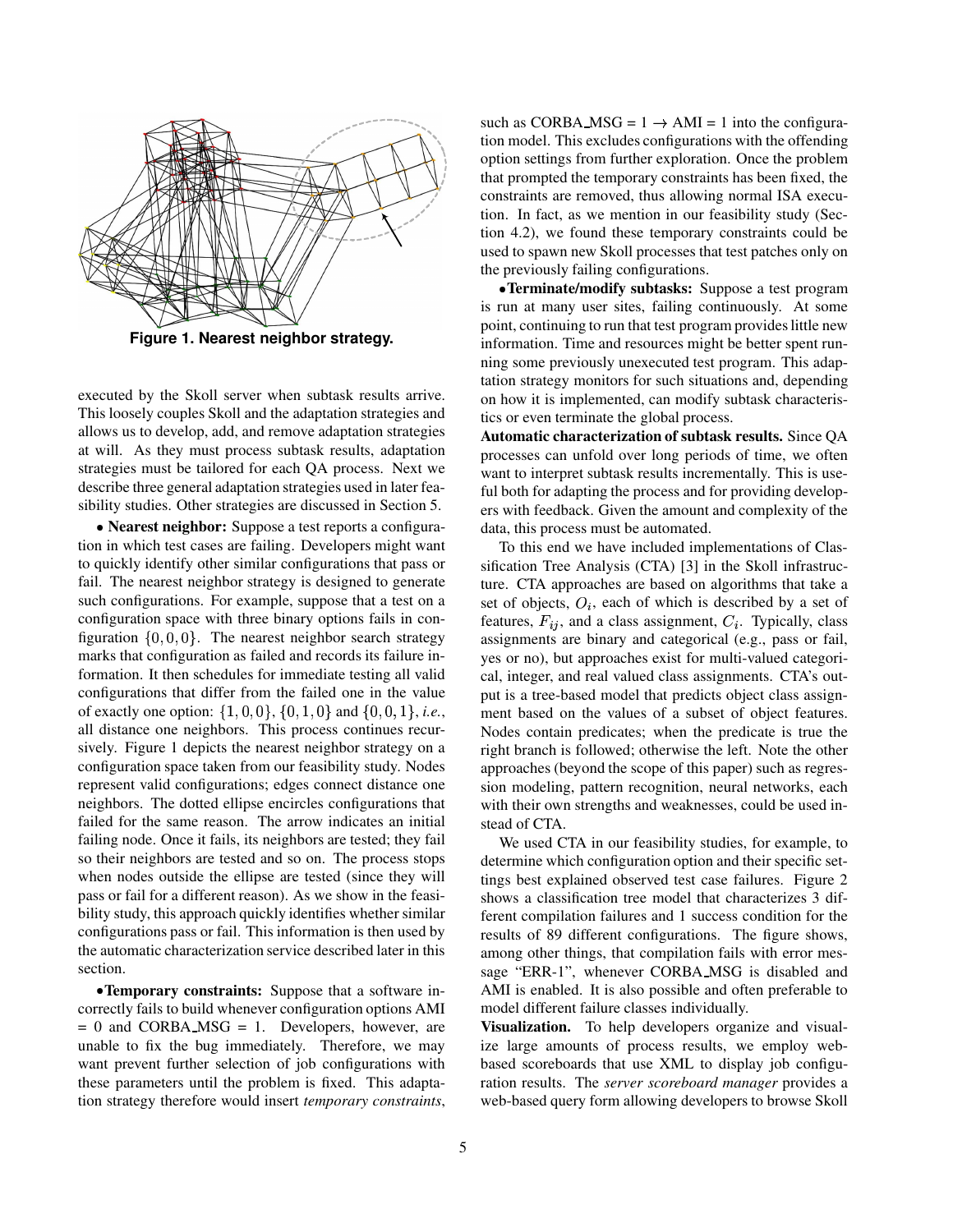

**Figure 1. Nearest neighbor strategy.**

executed by the Skoll server when subtask results arrive. This loosely couples Skoll and the adaptation strategies and allows us to develop, add, and remove adaptation strategies at will. As they must process subtask results, adaptation strategies must be tailored for each QA process. Next we describe three general adaptation strategies used in later feasibility studies. Other strategies are discussed in Section 5.

 **Nearest neighbor:** Suppose a test reports a configuration in which test cases are failing. Developers might want to quickly identify other similar configurations that pass or fail. The nearest neighbor strategy is designed to generate such configurations. For example, suppose that a test on a configuration space with three binary options fails in configuration  $\{0,0,0\}$ . The nearest neighbor search strategy marks that configuration as failed and records its failure information. It then schedules for immediate testing all valid configurations that differ from the failed one in the value of exactly one option:  $\{1, 0, 0\}$ ,  $\{0, 1, 0\}$  and  $\{0, 0, 1\}$ , *i.e.*, all distance one neighbors. This process continues recursively. Figure 1 depicts the nearest neighbor strategy on a configuration space taken from our feasibility study. Nodes represent valid configurations; edges connect distance one neighbors. The dotted ellipse encircles configurations that failed for the same reason. The arrow indicates an initial failing node. Once it fails, its neighbors are tested; they fail so their neighbors are tested and so on. The process stops when nodes outside the ellipse are tested (since they will pass or fail for a different reason). As we show in the feasibility study, this approach quickly identifies whether similar configurations pass or fail. This information is then used by the automatic characterization service described later in this section.

 **Temporary constraints:** Suppose that a software incorrectly fails to build whenever configuration options AMI  $= 0$  and CORBA MSG  $= 1$ . Developers, however, are unable to fix the bug immediately. Therefore, we may want prevent further selection of job configurations with these parameters until the problem is fixed. This adaptation strategy therefore would insert *temporary constraints*, such as CORBA MSG =  $1 \rightarrow AMI = 1$  into the configuration model. This excludes configurations with the offending option settings from further exploration. Once the problem that prompted the temporary constraints has been fixed, the constraints are removed, thus allowing normal ISA execution. In fact, as we mention in our feasibility study (Section 4.2), we found these temporary constraints could be used to spawn new Skoll processes that test patches only on the previously failing configurations.

 **Terminate/modify subtasks:** Suppose a test program is run at many user sites, failing continuously. At some point, continuing to run that test program provides little new information. Time and resources might be better spent running some previously unexecuted test program. This adaptation strategy monitors for such situations and, depending on how it is implemented, can modify subtask characteristics or even terminate the global process.

**Automatic characterization of subtask results.** Since QA processes can unfold over long periods of time, we often want to interpret subtask results incrementally. This is useful both for adapting the process and for providing developers with feedback. Given the amount and complexity of the data, this process must be automated.

To this end we have included implementations of Classification Tree Analysis (CTA) [3] in the Skoll infrastructure. CTA approaches are based on algorithms that take a set of objects,  $O_i$ , each of which is described by a set of features,  $F_{ij}$ , and a class assignment,  $C_i$ . Typically, class assignments are binary and categorical (e.g., pass or fail, yes or no), but approaches exist for multi-valued categorical, integer, and real valued class assignments. CTA's output is a tree-based model that predicts object class assignment based on the values of a subset of object features. Nodes contain predicates; when the predicate is true the right branch is followed; otherwise the left. Note the other approaches (beyond the scope of this paper) such as regression modeling, pattern recognition, neural networks, each with their own strengths and weaknesses, could be used instead of CTA.

We used CTA in our feasibility studies, for example, to determine which configuration option and their specific settings best explained observed test case failures. Figure 2 shows a classification tree model that characterizes 3 different compilation failures and 1 success condition for the results of 89 different configurations. The figure shows, among other things, that compilation fails with error message "ERR-1", whenever CORBA MSG is disabled and AMI is enabled. It is also possible and often preferable to model different failure classes individually.

**Visualization.** To help developers organize and visualize large amounts of process results, we employ webbased scoreboards that use XML to display job configuration results. The *server scoreboard manager* provides a web-based query form allowing developers to browse Skoll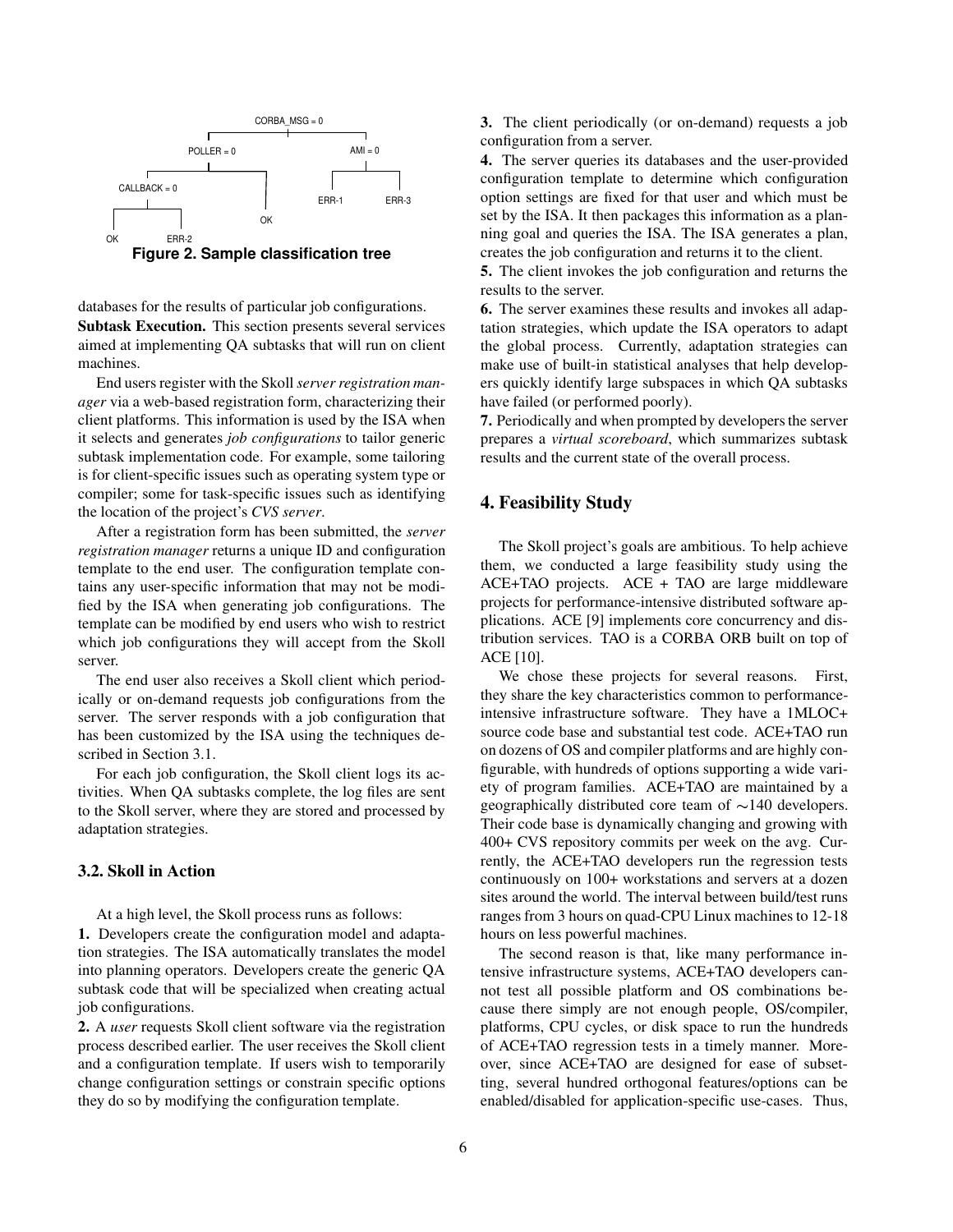

databases for the results of particular job configurations. **Subtask Execution.** This section presents several services aimed at implementing QA subtasks that will run on client machines.

End users register with the Skoll *server registration manager* via a web-based registration form, characterizing their client platforms. This information is used by the ISA when it selects and generates *job configurations* to tailor generic subtask implementation code. For example, some tailoring is for client-specific issues such as operating system type or compiler; some for task-specific issues such as identifying the location of the project's *CVS server*.

After a registration form has been submitted, the *server registration manager* returns a unique ID and configuration template to the end user. The configuration template contains any user-specific information that may not be modified by the ISA when generating job configurations. The template can be modified by end users who wish to restrict which job configurations they will accept from the Skoll server.

The end user also receives a Skoll client which periodically or on-demand requests job configurations from the server. The server responds with a job configuration that has been customized by the ISA using the techniques described in Section 3.1.

For each job configuration, the Skoll client logs its activities. When QA subtasks complete, the log files are sent to the Skoll server, where they are stored and processed by adaptation strategies.

# **3.2. Skoll in Action**

At a high level, the Skoll process runs as follows:

**1.** Developers create the configuration model and adaptation strategies. The ISA automatically translates the model into planning operators. Developers create the generic QA subtask code that will be specialized when creating actual job configurations.

**2.** A *user* requests Skoll client software via the registration process described earlier. The user receives the Skoll client and a configuration template. If users wish to temporarily change configuration settings or constrain specific options they do so by modifying the configuration template.

**3.** The client periodically (or on-demand) requests a job configuration from a server.

**4.** The server queries its databases and the user-provided configuration template to determine which configuration option settings are fixed for that user and which must be set by the ISA. It then packages this information as a planning goal and queries the ISA. The ISA generates a plan, creates the job configuration and returns it to the client.

**5.** The client invokes the job configuration and returns the results to the server.

**6.** The server examines these results and invokes all adaptation strategies, which update the ISA operators to adapt the global process. Currently, adaptation strategies can make use of built-in statistical analyses that help developers quickly identify large subspaces in which QA subtasks have failed (or performed poorly).

**7.** Periodically and when prompted by developers the server prepares a *virtual scoreboard*, which summarizes subtask results and the current state of the overall process.

### **4. Feasibility Study**

The Skoll project's goals are ambitious. To help achieve them, we conducted a large feasibility study using the ACE+TAO projects. ACE + TAO are large middleware projects for performance-intensive distributed software applications. ACE [9] implements core concurrency and distribution services. TAO is a CORBA ORB built on top of ACE [10].

We chose these projects for several reasons. First, they share the key characteristics common to performanceintensive infrastructure software. They have a 1MLOC+ source code base and substantial test code. ACE+TAO run on dozens of OS and compiler platforms and are highly configurable, with hundreds of options supporting a wide variety of program families. ACE+TAO are maintained by a geographically distributed core team of  $\sim$ 140 developers. Their code base is dynamically changing and growing with 400+ CVS repository commits per week on the avg. Currently, the ACE+TAO developers run the regression tests continuously on 100+ workstations and servers at a dozen sites around the world. The interval between build/test runs ranges from 3 hours on quad-CPU Linux machines to 12-18 hours on less powerful machines.

The second reason is that, like many performance intensive infrastructure systems, ACE+TAO developers cannot test all possible platform and OS combinations because there simply are not enough people, OS/compiler, platforms, CPU cycles, or disk space to run the hundreds of ACE+TAO regression tests in a timely manner. Moreover, since ACE+TAO are designed for ease of subsetting, several hundred orthogonal features/options can be enabled/disabled for application-specific use-cases. Thus,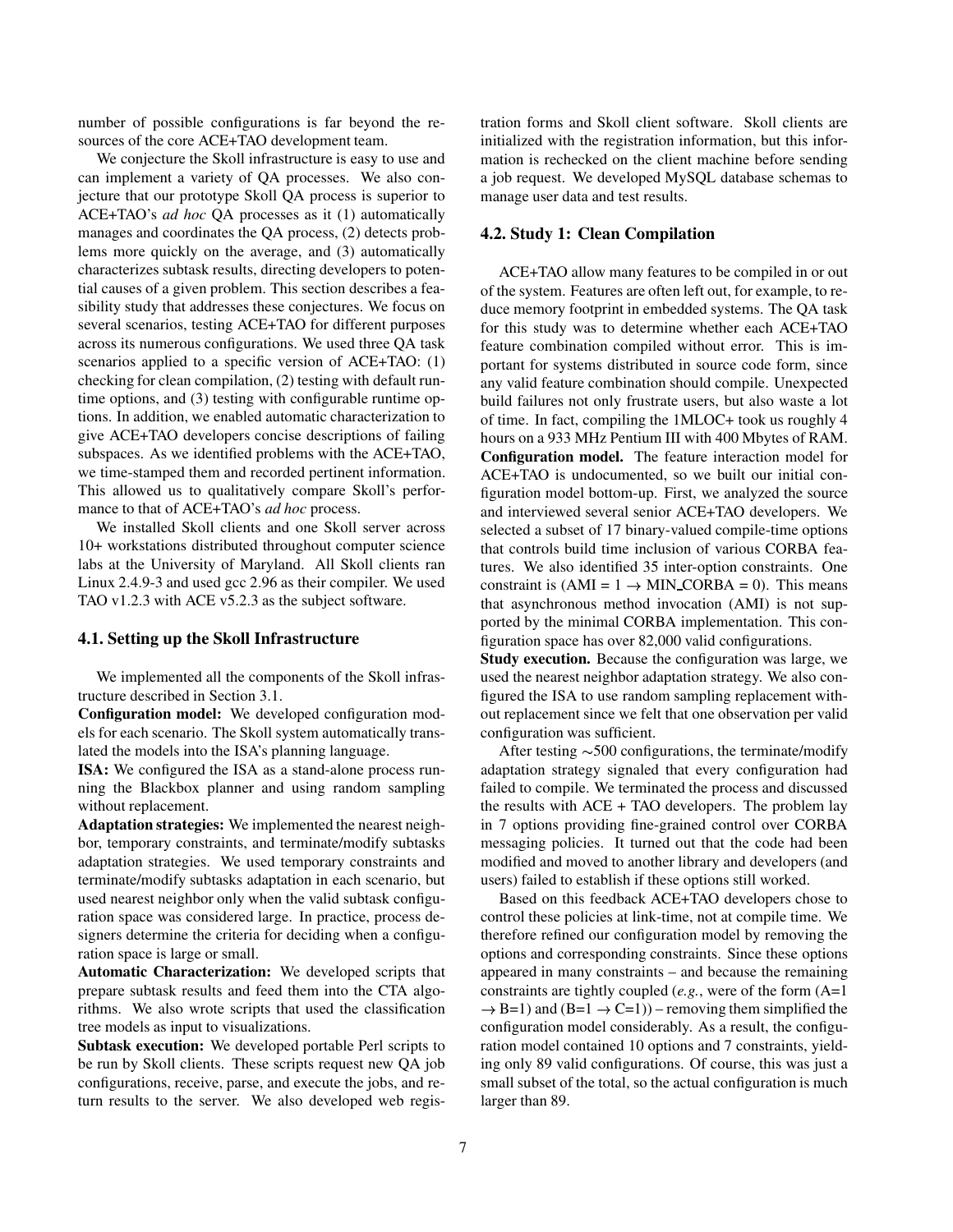number of possible configurations is far beyond the resources of the core ACE+TAO development team.

We conjecture the Skoll infrastructure is easy to use and can implement a variety of QA processes. We also conjecture that our prototype Skoll QA process is superior to ACE+TAO's *ad hoc* QA processes as it (1) automatically manages and coordinates the QA process, (2) detects problems more quickly on the average, and (3) automatically characterizes subtask results, directing developers to potential causes of a given problem. This section describes a feasibility study that addresses these conjectures. We focus on several scenarios, testing ACE+TAO for different purposes across its numerous configurations. We used three QA task scenarios applied to a specific version of ACE+TAO: (1) checking for clean compilation, (2) testing with default runtime options, and (3) testing with configurable runtime options. In addition, we enabled automatic characterization to give ACE+TAO developers concise descriptions of failing subspaces. As we identified problems with the ACE+TAO, we time-stamped them and recorded pertinent information. This allowed us to qualitatively compare Skoll's performance to that of ACE+TAO's *ad hoc* process.

We installed Skoll clients and one Skoll server across 10+ workstations distributed throughout computer science labs at the University of Maryland. All Skoll clients ran Linux 2.4.9-3 and used gcc 2.96 as their compiler. We used TAO v1.2.3 with ACE v5.2.3 as the subject software.

#### **4.1. Setting up the Skoll Infrastructure**

We implemented all the components of the Skoll infrastructure described in Section 3.1.

**Configuration model:** We developed configuration models for each scenario. The Skoll system automatically translated the models into the ISA's planning language.

**ISA:** We configured the ISA as a stand-alone process running the Blackbox planner and using random sampling without replacement.

**Adaptation strategies:** We implemented the nearest neighbor, temporary constraints, and terminate/modify subtasks adaptation strategies. We used temporary constraints and terminate/modify subtasks adaptation in each scenario, but used nearest neighbor only when the valid subtask configuration space was considered large. In practice, process designers determine the criteria for deciding when a configuration space is large or small.

**Automatic Characterization:** We developed scripts that prepare subtask results and feed them into the CTA algorithms. We also wrote scripts that used the classification tree models as input to visualizations.

**Subtask execution:** We developed portable Perl scripts to be run by Skoll clients. These scripts request new QA job configurations, receive, parse, and execute the jobs, and return results to the server. We also developed web registration forms and Skoll client software. Skoll clients are initialized with the registration information, but this information is rechecked on the client machine before sending a job request. We developed MySQL database schemas to manage user data and test results.

#### **4.2. Study 1: Clean Compilation**

ACE+TAO allow many features to be compiled in or out of the system. Features are often left out, for example, to reduce memory footprint in embedded systems. The QA task for this study was to determine whether each ACE+TAO feature combination compiled without error. This is important for systems distributed in source code form, since any valid feature combination should compile. Unexpected build failures not only frustrate users, but also waste a lot of time. In fact, compiling the 1MLOC+ took us roughly 4 hours on a 933 MHz Pentium III with 400 Mbytes of RAM. **Configuration model.** The feature interaction model for ACE+TAO is undocumented, so we built our initial configuration model bottom-up. First, we analyzed the source and interviewed several senior ACE+TAO developers. We selected a subset of 17 binary-valued compile-time options that controls build time inclusion of various CORBA features. We also identified 35 inter-option constraints. One constraint is  $(AMI = 1 \rightarrow MIN\_CORBA = 0)$ . This means that asynchronous method invocation (AMI) is not supported by the minimal CORBA implementation. This configuration space has over 82,000 valid configurations.

**Study execution.** Because the configuration was large, we used the nearest neighbor adaptation strategy. We also configured the ISA to use random sampling replacement without replacement since we felt that one observation per valid configuration was sufficient.

After testing  $\sim$  500 configurations, the terminate/modify adaptation strategy signaled that every configuration had failed to compile. We terminated the process and discussed the results with ACE + TAO developers. The problem lay in 7 options providing fine-grained control over CORBA messaging policies. It turned out that the code had been modified and moved to another library and developers (and users) failed to establish if these options still worked.

Based on this feedback ACE+TAO developers chose to control these policies at link-time, not at compile time. We therefore refined our configuration model by removing the options and corresponding constraints. Since these options appeared in many constraints – and because the remaining constraints are tightly coupled (*e.g.*, were of the form (A=1  $\rightarrow$  B=1) and (B=1  $\rightarrow$  C=1)) – removing them simplified the configuration model considerably. As a result, the configuration model contained 10 options and 7 constraints, yielding only 89 valid configurations. Of course, this was just a small subset of the total, so the actual configuration is much larger than 89.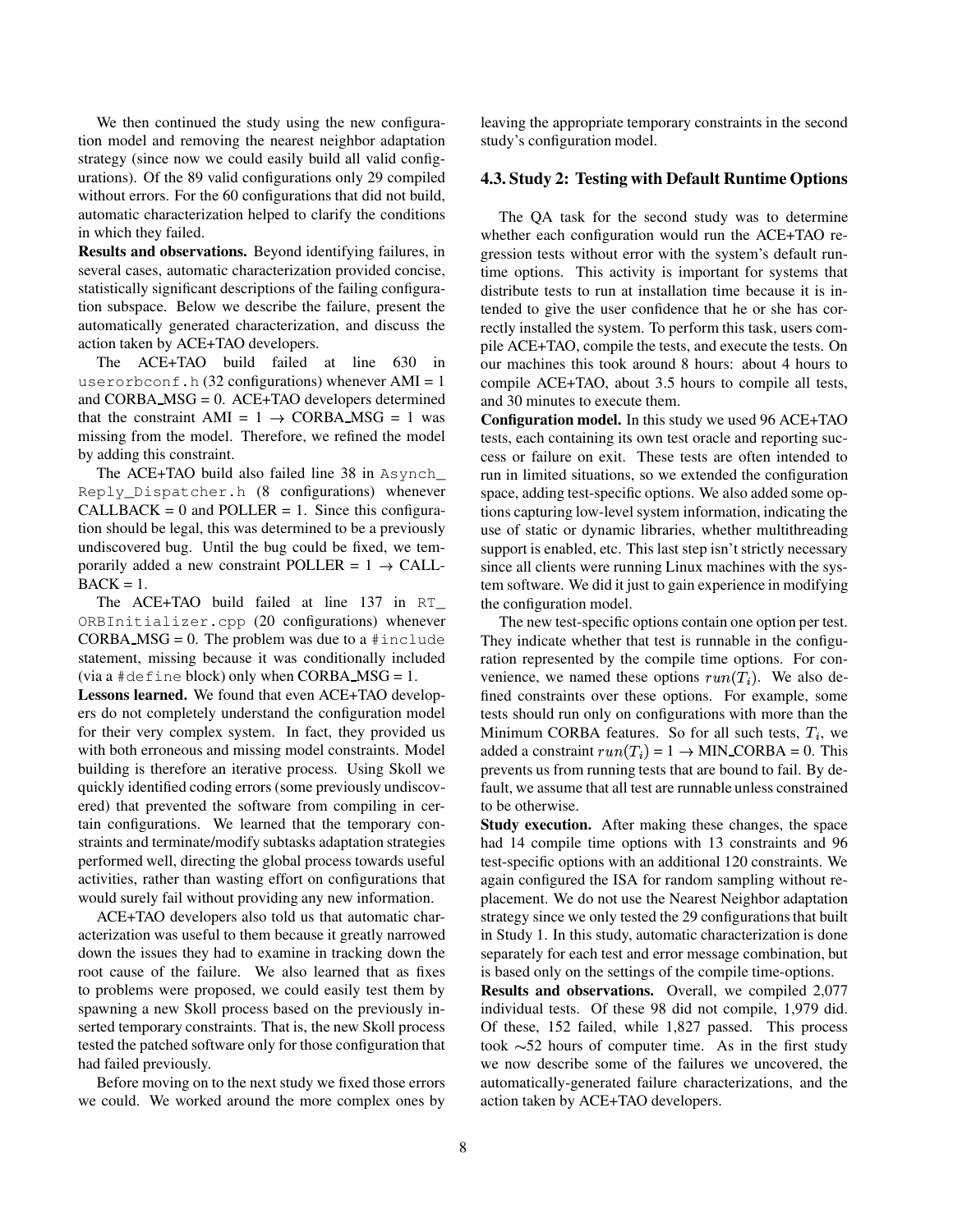We then continued the study using the new configuration model and removing the nearest neighbor adaptation strategy (since now we could easily build all valid configurations). Of the 89 valid configurations only 29 compiled without errors. For the 60 configurations that did not build, automatic characterization helped to clarify the conditions in which they failed.

**Results and observations.** Beyond identifying failures, in several cases, automatic characterization provided concise, statistically significant descriptions of the failing configuration subspace. Below we describe the failure, present the automatically generated characterization, and discuss the action taken by ACE+TAO developers.

The ACE+TAO build failed at line 630 in userorbconf.h  $(32$  configurations) whenever AMI = 1 and CORBA MSG = 0. ACE+TAO developers determined that the constraint AMI =  $1 \rightarrow \text{CORBA}_2$ MSG = 1 was missing from the model. Therefore, we refined the model by adding this constraint.

The ACE+TAO build also failed line 38 in Asynch\_ Reply\_Dispatcher.h (8 configurations) whenever  $CALLBACK = 0$  and  $POLLER = 1$ . Since this configuration should be legal, this was determined to be a previously undiscovered bug. Until the bug could be fixed, we temporarily added a new constraint POLLER =  $1 \rightarrow \text{CAL}$  $BACK = 1$ .

The ACE+TAO build failed at line 137 in RT ORBInitializer.cpp (20 configurations) whenever CORBA  $MSG = 0$ . The problem was due to a #include statement, missing because it was conditionally included (via a #define block) only when  $CORBA$   $MSG = 1$ .

**Lessons learned.** We found that even ACE+TAO developers do not completely understand the configuration model for their very complex system. In fact, they provided us with both erroneous and missing model constraints. Model building is therefore an iterative process. Using Skoll we quickly identified coding errors (some previously undiscovered) that prevented the software from compiling in certain configurations. We learned that the temporary constraints and terminate/modify subtasks adaptation strategies performed well, directing the global process towards useful activities, rather than wasting effort on configurations that would surely fail without providing any new information.

ACE+TAO developers also told us that automatic characterization was useful to them because it greatly narrowed down the issues they had to examine in tracking down the root cause of the failure. We also learned that as fixes to problems were proposed, we could easily test them by spawning a new Skoll process based on the previously inserted temporary constraints. That is, the new Skoll process tested the patched software only for those configuration that had failed previously.

Before moving on to the next study we fixed those errors we could. We worked around the more complex ones by

leaving the appropriate temporary constraints in the second study's configuration model.

# **4.3. Study 2: Testing with Default Runtime Options**

The QA task for the second study was to determine whether each configuration would run the ACE+TAO regression tests without error with the system's default runtime options. This activity is important for systems that distribute tests to run at installation time because it is intended to give the user confidence that he or she has correctly installed the system. To perform this task, users compile ACE+TAO, compile the tests, and execute the tests. On our machines this took around 8 hours: about 4 hours to compile ACE+TAO, about 3.5 hours to compile all tests, and 30 minutes to execute them.

**Configuration model.** In this study we used 96 ACE+TAO tests, each containing its own test oracle and reporting success or failure on exit. These tests are often intended to run in limited situations, so we extended the configuration space, adding test-specific options. We also added some options capturing low-level system information, indicating the use of static or dynamic libraries, whether multithreading support is enabled, etc. This last step isn't strictly necessary since all clients were running Linux machines with the system software. We did it just to gain experience in modifying the configuration model.

The new test-specific options contain one option per test. They indicate whether that test is runnable in the configuration represented by the compile time options. For convenience, we named these options  $run(T_i)$ . We also defined constraints over these options. For example, some tests should run only on configurations with more than the Minimum CORBA features. So for all such tests,  $T_i$ , we added a constraint  $run(T_i) = 1 \rightarrow MIN\_CORBA = 0$ . This prevents us from running tests that are bound to fail. By default, we assume that all test are runnable unless constrained to be otherwise.

**Study execution.** After making these changes, the space had 14 compile time options with 13 constraints and 96 test-specific options with an additional 120 constraints. We again configured the ISA for random sampling without replacement. We do not use the Nearest Neighbor adaptation strategy since we only tested the 29 configurations that built in Study 1. In this study, automatic characterization is done separately for each test and error message combination, but is based only on the settings of the compile time-options.

**Results and observations.** Overall, we compiled 2,077 individual tests. Of these 98 did not compile, 1,979 did. Of these, 152 failed, while 1,827 passed. This process took  $\sim$  52 hours of computer time. As in the first study we now describe some of the failures we uncovered, the automatically-generated failure characterizations, and the action taken by ACE+TAO developers.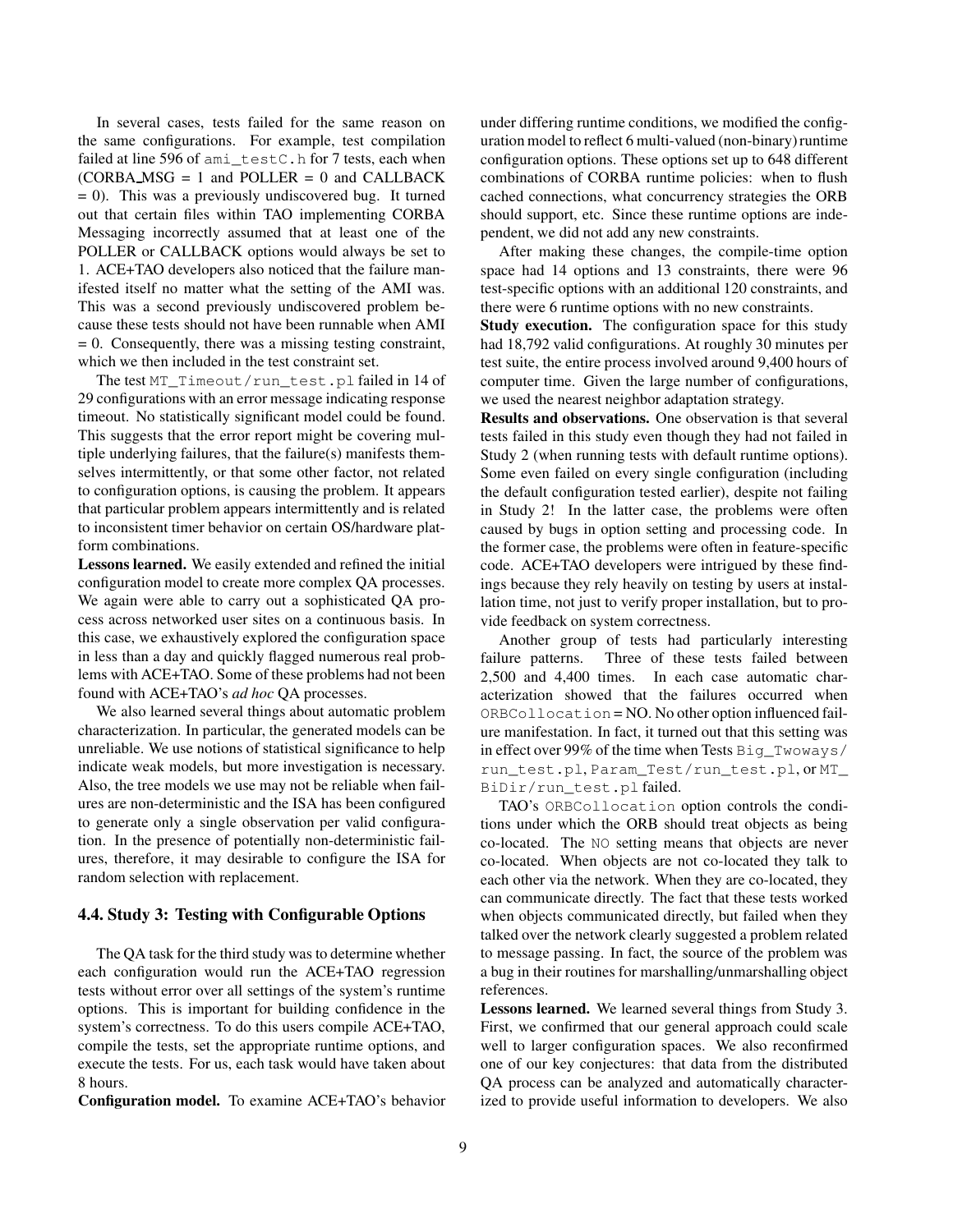In several cases, tests failed for the same reason on the same configurations. For example, test compilation failed at line 596 of ami  $testC$ .h for 7 tests, each when  $(CORBA_MSG = 1$  and  $POLLER = 0$  and  $CALLBACK$  $= 0$ ). This was a previously undiscovered bug. It turned out that certain files within TAO implementing CORBA Messaging incorrectly assumed that at least one of the POLLER or CALLBACK options would always be set to 1. ACE+TAO developers also noticed that the failure manifested itself no matter what the setting of the AMI was. This was a second previously undiscovered problem because these tests should not have been runnable when AMI  $= 0$ . Consequently, there was a missing testing constraint, which we then included in the test constraint set.

The test MT\_Timeout/run\_test.pl failed in 14 of 29 configurations with an error message indicating response timeout. No statistically significant model could be found. This suggests that the error report might be covering multiple underlying failures, that the failure(s) manifests themselves intermittently, or that some other factor, not related to configuration options, is causing the problem. It appears that particular problem appears intermittently and is related to inconsistent timer behavior on certain OS/hardware platform combinations.

**Lessons learned.** We easily extended and refined the initial configuration model to create more complex QA processes. We again were able to carry out a sophisticated QA process across networked user sites on a continuous basis. In this case, we exhaustively explored the configuration space in less than a day and quickly flagged numerous real problems with ACE+TAO. Some of these problems had not been found with ACE+TAO's *ad hoc* QA processes.

We also learned several things about automatic problem characterization. In particular, the generated models can be unreliable. We use notions of statistical significance to help indicate weak models, but more investigation is necessary. Also, the tree models we use may not be reliable when failures are non-deterministic and the ISA has been configured to generate only a single observation per valid configuration. In the presence of potentially non-deterministic failures, therefore, it may desirable to configure the ISA for random selection with replacement.

### **4.4. Study 3: Testing with Configurable Options**

The QA task for the third study was to determine whether each configuration would run the ACE+TAO regression tests without error over all settings of the system's runtime options. This is important for building confidence in the system's correctness. To do this users compile ACE+TAO, compile the tests, set the appropriate runtime options, and execute the tests. For us, each task would have taken about 8 hours.

**Configuration model.** To examine ACE+TAO's behavior

under differing runtime conditions, we modified the configuration model to reflect 6 multi-valued (non-binary) runtime configuration options. These options set up to 648 different combinations of CORBA runtime policies: when to flush cached connections, what concurrency strategies the ORB should support, etc. Since these runtime options are independent, we did not add any new constraints.

After making these changes, the compile-time option space had 14 options and 13 constraints, there were 96 test-specific options with an additional 120 constraints, and there were 6 runtime options with no new constraints.

**Study execution.** The configuration space for this study had 18,792 valid configurations. At roughly 30 minutes per test suite, the entire process involved around 9,400 hours of computer time. Given the large number of configurations, we used the nearest neighbor adaptation strategy.

**Results and observations.** One observation is that several tests failed in this study even though they had not failed in Study 2 (when running tests with default runtime options). Some even failed on every single configuration (including the default configuration tested earlier), despite not failing in Study 2! In the latter case, the problems were often caused by bugs in option setting and processing code. In the former case, the problems were often in feature-specific code. ACE+TAO developers were intrigued by these findings because they rely heavily on testing by users at installation time, not just to verify proper installation, but to provide feedback on system correctness.

Another group of tests had particularly interesting failure patterns. Three of these tests failed between 2,500 and 4,400 times. In each case automatic characterization showed that the failures occurred when ORBCollocation = NO. No other option influenced failure manifestation. In fact, it turned out that this setting was in effect over 99% of the time when Tests Big\_Twoways/ run\_test.pl, Param\_Test/run\_test.pl, or MT\_ BiDir/run\_test.pl failed.

TAO's ORBCollocation option controls the conditions under which the ORB should treat objects as being co-located. The NO setting means that objects are never co-located. When objects are not co-located they talk to each other via the network. When they are co-located, they can communicate directly. The fact that these tests worked when objects communicated directly, but failed when they talked over the network clearly suggested a problem related to message passing. In fact, the source of the problem was a bug in their routines for marshalling/unmarshalling object references.

**Lessons learned.** We learned several things from Study 3. First, we confirmed that our general approach could scale well to larger configuration spaces. We also reconfirmed one of our key conjectures: that data from the distributed QA process can be analyzed and automatically characterized to provide useful information to developers. We also